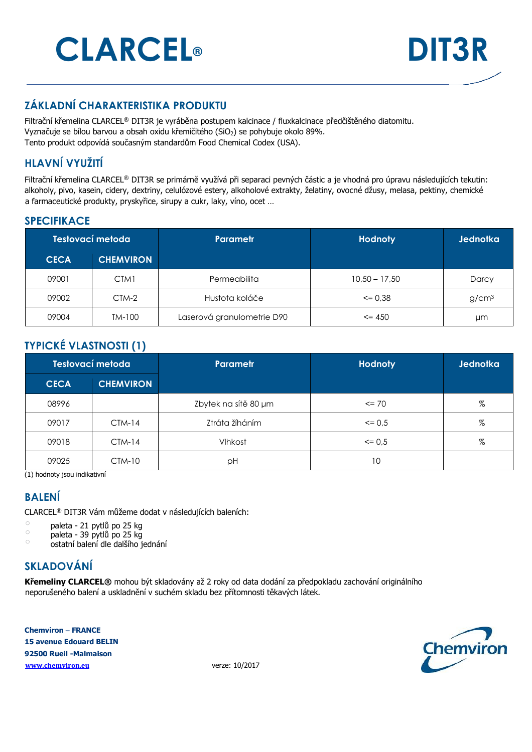# **CLARCEL® DIT3R**



## **ZÁKLADNÍ CHARAKTERISTIKA PRODUKTU**

Filtrační křemelina CLARCEL® DIT3R je vyráběna postupem kalcinace / fluxkalcinace předčištěného diatomitu. Vyznačuje se bílou barvou a obsah oxidu křemičitého (SiO<sub>2</sub>) se pohybuje okolo 89%. Tento produkt odpovídá současným standardům Food Chemical Codex (USA).

## **HLAVNÍ VYUŽITÍ**

Filtrační křemelina CLARCEL® DIT3R se primárně využívá při separaci pevných částic a je vhodná pro úpravu následujících tekutin: alkoholy, pivo, kasein, cidery, dextriny, celulózové estery, alkoholové extrakty, želatiny, ovocné džusy, melasa, pektiny, chemické a farmaceutické produkty, pryskyřice, sirupy a cukr, laky, víno, ocet …

#### **SPECIFIKACE**

| Testovací metoda |                  | Parametr                   | <b>Hodnoty</b>  | <b>Jednotka</b>   |
|------------------|------------------|----------------------------|-----------------|-------------------|
| <b>CECA</b>      | <b>CHEMVIRON</b> |                            |                 |                   |
| 09001            | CTM1             | Permeabilita               | $10,50 - 17,50$ | Darcy             |
| 09002            | CTM-2            | Hustota koláče             | $\leq$ 0.38     | g/cm <sup>3</sup> |
| 09004            | TM-100           | Laserová granulometrie D90 | $\leq$ 450      | μm                |

## **TYPICKÉ VLASTNOSTI (1)**

| Testovací metoda |                  | Parametr             | <b>Hodnoty</b> | Jednotka |
|------------------|------------------|----------------------|----------------|----------|
| <b>CECA</b>      | <b>CHEMVIRON</b> |                      |                |          |
| 08996            |                  | Zbytek na sítě 80 µm | $\leq$ 70      | %        |
| 09017            | $CTM-14$         | Ztráta žíháním       | $\leq$ 0.5     | %        |
| 09018            | $CIM-14$         | Vlhkost              | $\leq$ 0.5     | %        |
| 09025            | $CTM-10$         | рH                   | 10             |          |

(1) hodnoty jsou indikativní

#### **BALENÍ**

CLARCEL® DIT3R Vám můžeme dodat v následujících baleních:

- $\circ$  paleta 21 pytlů po 25 kg
- $\degree$  paleta 39 pytlů po 25 kg

o ostatní balení dle dalšího jednání

## **SKLADOVÁNÍ**

**Křemeliny CLARCEL®** mohou být skladovány až 2 roky od data dodání za předpokladu zachování originálního neporušeného balení a uskladnění v suchém skladu bez přítomnosti těkavých látek.

**Chemviron – FRANCE 15 avenue Edouard BELIN 92500 Rueil -Malmaison www.chemviron.eu** verze: 10/2017